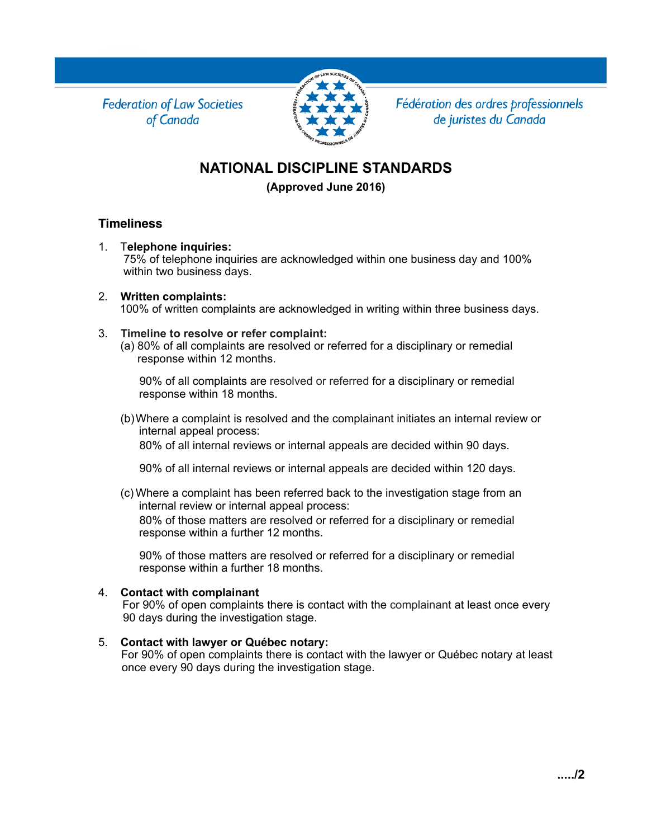**Federation of Law Societies** of Canada



Fédération des ordres professionnels de juristes du Canada

# **NATIONAL DISCIPLINE STANDARDS**

**(Approved June 2016)**

### **Timeliness**

1. T**elephone inquiries:**

 75% of telephone inquiries are acknowledged within one business day and 100% within two business days.

- 2. **Written complaints:** 100% of written complaints are acknowledged in writing within three business days.
- 3. **Timeline to resolve or refer complaint:**
	- (a) 80% of all complaints are resolved or referred for a disciplinary or remedial response within 12 months.

 90% of all complaints are resolved or referred for a disciplinary or remedial response within 18 months.

(b)Where a complaint is resolved and the complainant initiates an internal review or internal appeal process:

80% of all internal reviews or internal appeals are decided within 90 days.

90% of all internal reviews or internal appeals are decided within 120 days.

(c) Where a complaint has been referred back to the investigation stage from an internal review or internal appeal process:

 80% of those matters are resolved or referred for a disciplinary or remedial response within a further 12 months.

 90% of those matters are resolved or referred for a disciplinary or remedial response within a further 18 months.

#### 4. **Contact with complainant**

For 90% of open complaints there is contact with the complainant at least once every 90 days during the investigation stage.

#### 5. **Contact with lawyer or Québec notary:**

For 90% of open complaints there is contact with the lawyer or Québec notary at least once every 90 days during the investigation stage.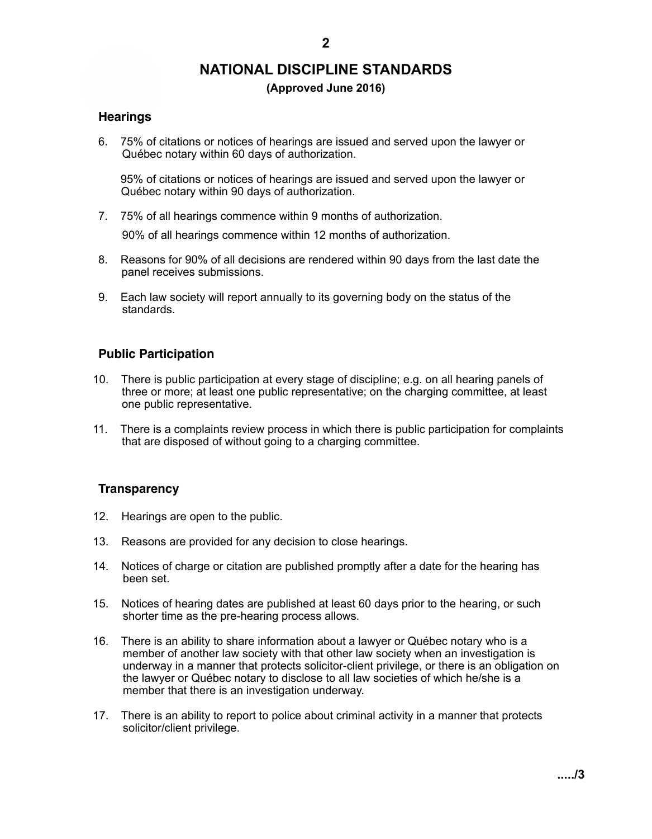# **NATIONAL DISCIPLINE STANDARDS**

#### **(Approved June 2016)**

#### **Hearings**

6. 75% of citations or notices of hearings are issued and served upon the lawyer or Québec notary within 60 days of authorization.

 95% of citations or notices of hearings are issued and served upon the lawyer or Québec notary within 90 days of authorization.

7. 75% of all hearings commence within 9 months of authorization.

90% of all hearings commence within 12 months of authorization.

- 8. Reasons for 90% of all decisions are rendered within 90 days from the last date the panel receives submissions.
- 9. Each law society will report annually to its governing body on the status of the standards.

#### **Public Participation**

- 10. There is public participation at every stage of discipline; e.g. on all hearing panels of three or more; at least one public representative; on the charging committee, at least one public representative.
- 11. There is a complaints review process in which there is public participation for complaints that are disposed of without going to a charging committee.

#### **Transparency**

- 12. Hearings are open to the public.
- 13. Reasons are provided for any decision to close hearings.
- 14. Notices of charge or citation are published promptly after a date for the hearing has been set.
- 15. Notices of hearing dates are published at least 60 days prior to the hearing, or such shorter time as the pre-hearing process allows.
- 16. There is an ability to share information about a lawyer or Québec notary who is a member of another law society with that other law society when an investigation is underway in a manner that protects solicitor-client privilege, or there is an obligation on the lawyer or Québec notary to disclose to all law societies of which he/she is a member that there is an investigation underway.
- 17. There is an ability to report to police about criminal activity in a manner that protects solicitor/client privilege.